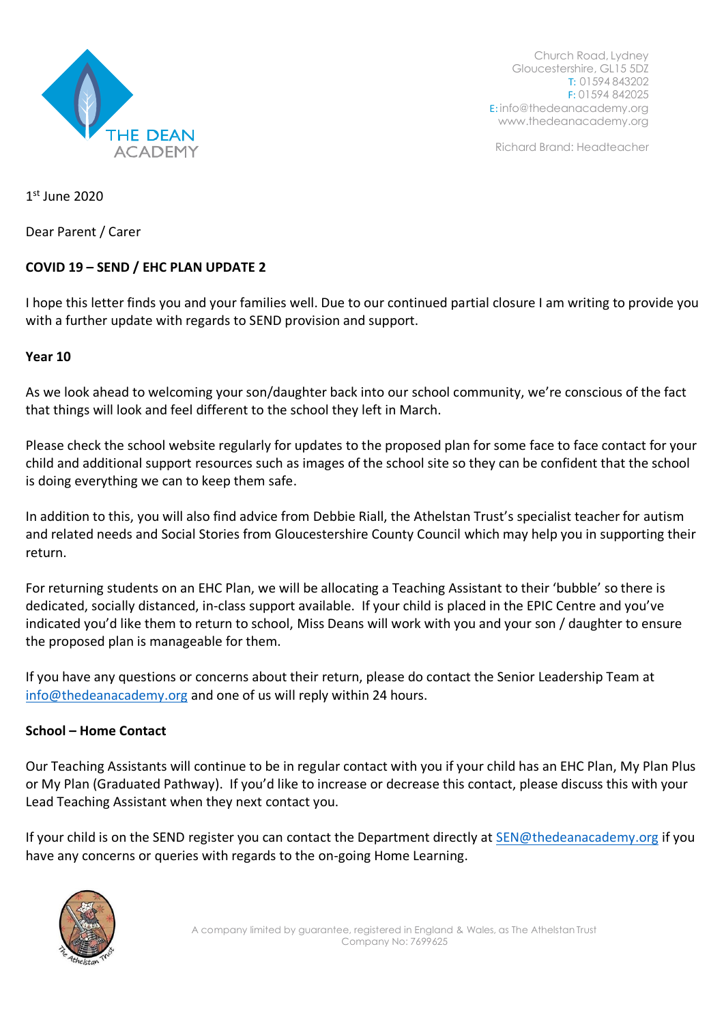

Richard Brand: Headteacher

1 st June 2020

Dear Parent / Carer

# **COVID 19 – SEND / EHC PLAN UPDATE 2**

I hope this letter finds you and your families well. Due to our continued partial closure I am writing to provide you with a further update with regards to SEND provision and support.

### **Year 10**

As we look ahead to welcoming your son/daughter back into our school community, we're conscious of the fact that things will look and feel different to the school they left in March.

Please check the school website regularly for updates to the proposed plan for some face to face contact for your child and additional support resources such as images of the school site so they can be confident that the school is doing everything we can to keep them safe.

In addition to this, you will also find advice from Debbie Riall, the Athelstan Trust's specialist teacher for autism and related needs and Social Stories from Gloucestershire County Council which may help you in supporting their return.

For returning students on an EHC Plan, we will be allocating a Teaching Assistant to their 'bubble' so there is dedicated, socially distanced, in-class support available. If your child is placed in the EPIC Centre and you've indicated you'd like them to return to school, Miss Deans will work with you and your son / daughter to ensure the proposed plan is manageable for them.

If you have any questions or concerns about their return, please do contact the Senior Leadership Team at [info@thedeanacademy.org](mailto:info@thedeanacademy.org) and one of us will reply within 24 hours.

## **School – Home Contact**

Our Teaching Assistants will continue to be in regular contact with you if your child has an EHC Plan, My Plan Plus or My Plan (Graduated Pathway). If you'd like to increase or decrease this contact, please discuss this with your Lead Teaching Assistant when they next contact you.

If your child is on the SEND register you can contact the Department directly at **SEN@thedeanacademy.org** if you have any concerns or queries with regards to the on-going Home Learning.

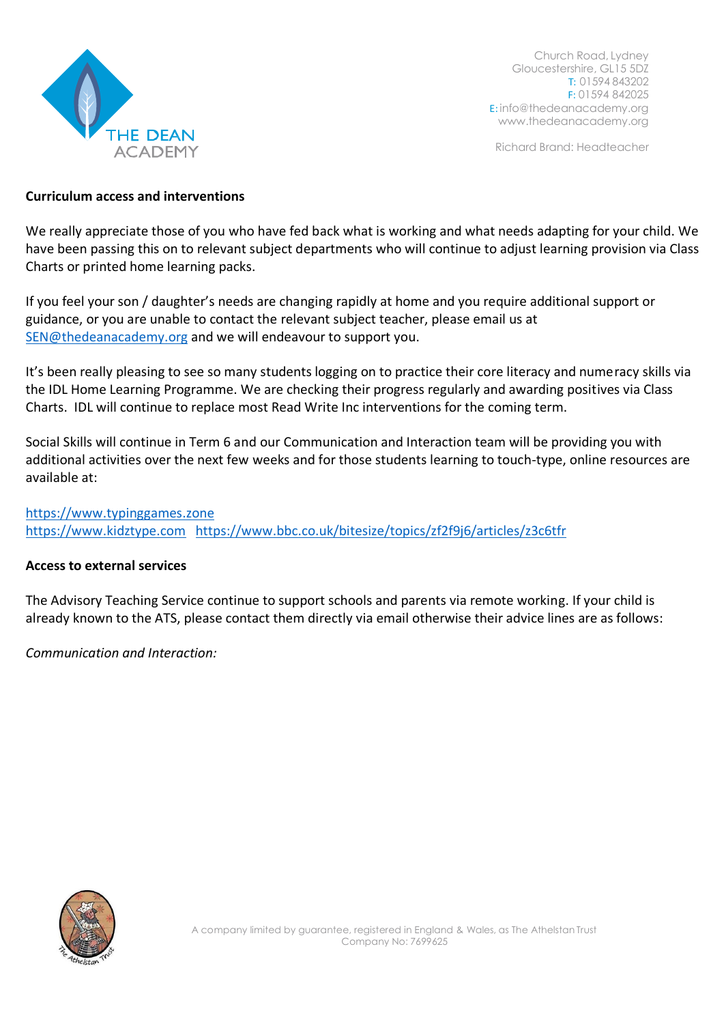

Richard Brand: Headteacher

#### **Curriculum access and interventions**

We really appreciate those of you who have fed back what is working and what needs adapting for your child. We have been passing this on to relevant subject departments who will continue to adjust learning provision via Class Charts or printed home learning packs.

If you feel your son / daughter's needs are changing rapidly at home and you require additional support or guidance, or you are unable to contact the relevant subject teacher, please email us at [SEN@thedeanacademy.org](mailto:SEN@thedeanacademy.org) and we will endeavour to support you.

It's been really pleasing to see so many students logging on to practice their core literacy and numeracy skills via the IDL Home Learning Programme. We are checking their progress regularly and awarding positives via Class Charts. IDL will continue to replace most Read Write Inc interventions for the coming term.

Social Skills will continue in Term 6 and our Communication and Interaction team will be providing you with additional activities over the next few weeks and for those students learning to touch-type, online resources are available at:

[https://www.typinggames.zone](https://www.typinggames.zone/) [https://www.kidztype.com](https://www.kidztype.com/) <https://www.bbc.co.uk/bitesize/topics/zf2f9j6/articles/z3c6tfr>

#### **Access to external services**

The Advisory Teaching Service continue to support schools and parents via remote working. If your child is already known to the ATS, please contact them directly via email otherwise their advice lines are as follows:

*Communication and Interaction:*

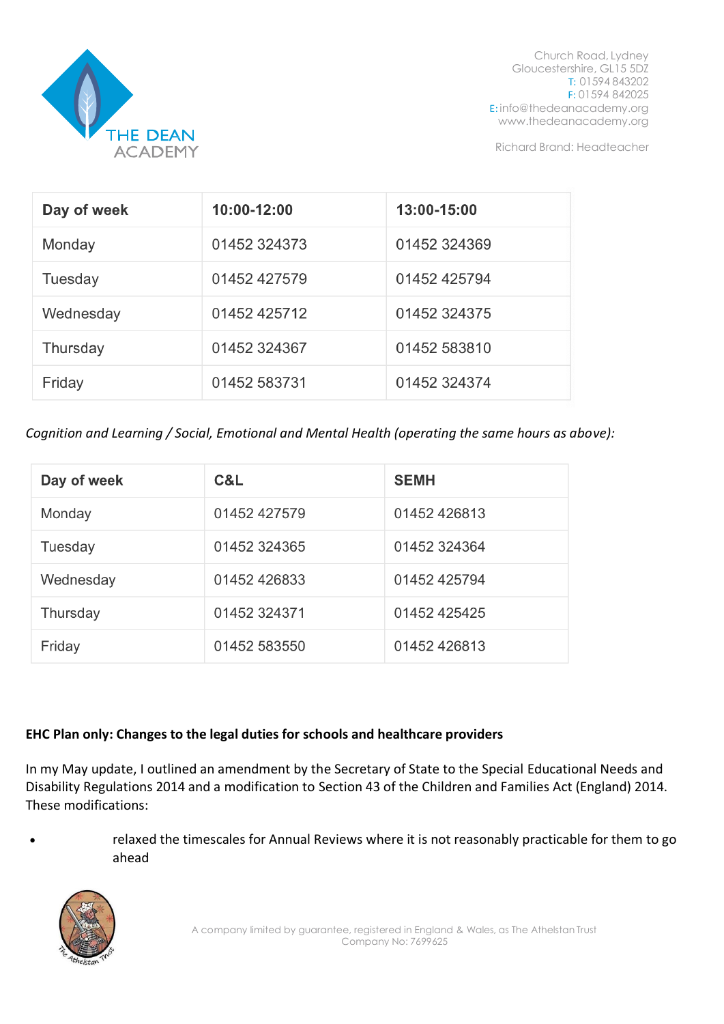

Richard Brand: Headteacher

| Day of week | 10:00-12:00  | 13:00-15:00  |
|-------------|--------------|--------------|
| Monday      | 01452 324373 | 01452 324369 |
| Tuesday     | 01452 427579 | 01452 425794 |
| Wednesday   | 01452 425712 | 01452 324375 |
| Thursday    | 01452 324367 | 01452 583810 |
| Friday      | 01452 583731 | 01452 324374 |

*Cognition and Learning / Social, Emotional and Mental Health (operating the same hours as above):*

| Day of week | C&L          | <b>SEMH</b>  |
|-------------|--------------|--------------|
| Monday      | 01452 427579 | 01452 426813 |
| Tuesday     | 01452 324365 | 01452 324364 |
| Wednesday   | 01452 426833 | 01452 425794 |
| Thursday    | 01452 324371 | 01452 425425 |
| Friday      | 01452 583550 | 01452 426813 |

## **EHC Plan only: Changes to the legal duties for schools and healthcare providers**

In my May update, I outlined an amendment by the Secretary of State to the Special Educational Needs and Disability Regulations 2014 and a modification to Section 43 of the Children and Families Act (England) 2014. These modifications:

• relaxed the timescales for Annual Reviews where it is not reasonably practicable for them to go ahead